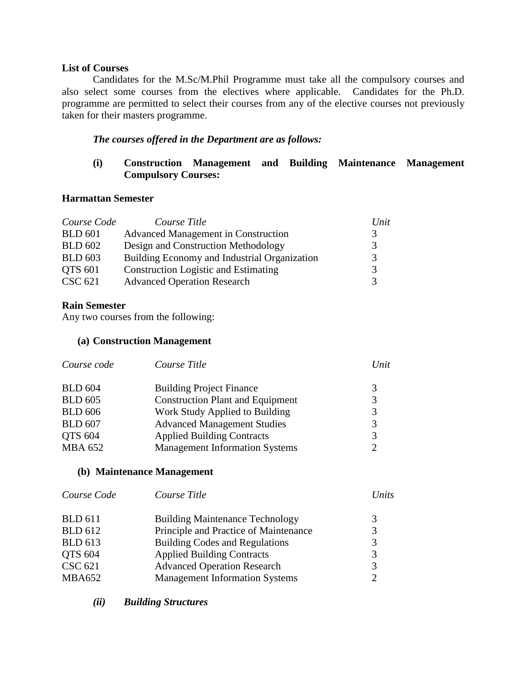#### **List of Courses**

Candidates for the M.Sc/M.Phil Programme must take all the compulsory courses and also select some courses from the electives where applicable. Candidates for the Ph.D. programme are permitted to select their courses from any of the elective courses not previously taken for their masters programme.

## *The courses offered in the Department are as follows:*

## **(i) Construction Management and Building Maintenance Management Compulsory Courses:**

### **Harmattan Semester**

| Course Code    | Course Title                                 | Unit |
|----------------|----------------------------------------------|------|
| <b>BLD</b> 601 | <b>Advanced Management in Construction</b>   |      |
| <b>BLD 602</b> | Design and Construction Methodology          | 3    |
| <b>BLD 603</b> | Building Economy and Industrial Organization |      |
| <b>QTS 601</b> | <b>Construction Logistic and Estimating</b>  |      |
| CSC 621        | <b>Advanced Operation Research</b>           |      |

### **Rain Semester**

Any two courses from the following:

### **(a) Construction Management**

| Course code    | Course Title                            | Unit          |
|----------------|-----------------------------------------|---------------|
| <b>BLD 604</b> | <b>Building Project Finance</b>         |               |
| <b>BLD 605</b> | <b>Construction Plant and Equipment</b> | 3             |
| <b>BLD 606</b> | Work Study Applied to Building          | 3             |
| <b>BLD 607</b> | <b>Advanced Management Studies</b>      | 3             |
| <b>QTS 604</b> | <b>Applied Building Contracts</b>       | $\mathcal{R}$ |
| <b>MBA 652</b> | <b>Management Information Systems</b>   |               |

### **(b) Maintenance Management**

| Course Code    | Course Title                           | Units                       |
|----------------|----------------------------------------|-----------------------------|
| <b>BLD</b> 611 | <b>Building Maintenance Technology</b> | 3                           |
| <b>BLD 612</b> | Principle and Practice of Maintenance  | 3                           |
| <b>BLD</b> 613 | <b>Building Codes and Regulations</b>  | 3                           |
| QTS 604        | <b>Applied Building Contracts</b>      | 3                           |
| <b>CSC 621</b> | <b>Advanced Operation Research</b>     | 3                           |
| <b>MBA652</b>  | <b>Management Information Systems</b>  | $\mathcal{D}_{\mathcal{L}}$ |

*(ii) Building Structures*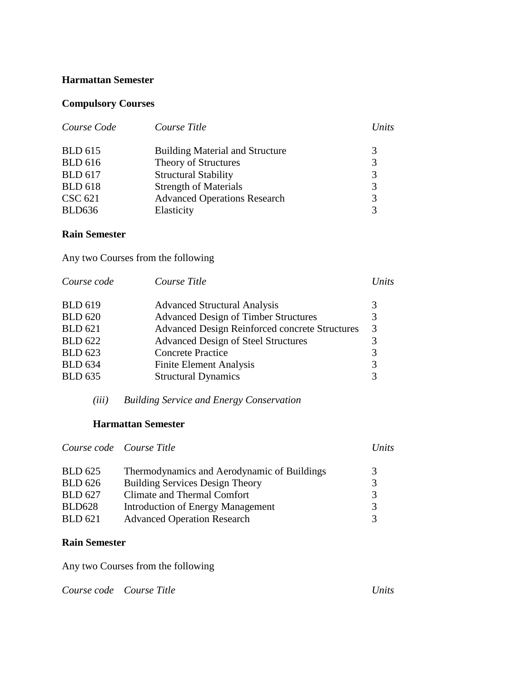#### **Harmattan Semester**

## **Compulsory Courses**

| Course Code    | Course Title                           | Units |
|----------------|----------------------------------------|-------|
| <b>BLD</b> 615 | <b>Building Material and Structure</b> | 3     |
| <b>BLD</b> 616 | Theory of Structures                   | 3     |
| <b>BLD 617</b> | <b>Structural Stability</b>            | 3     |
| <b>BLD</b> 618 | <b>Strength of Materials</b>           | 3     |
| <b>CSC 621</b> | <b>Advanced Operations Research</b>    | 3     |
| <b>BLD636</b>  | Elasticity                             | 3     |

# **Rain Semester**

Any two Courses from the following

| Course code    | Course Title                                          | Units |
|----------------|-------------------------------------------------------|-------|
| <b>BLD 619</b> | <b>Advanced Structural Analysis</b>                   | 3     |
| <b>BLD 620</b> | <b>Advanced Design of Timber Structures</b>           | 3     |
| <b>BLD</b> 621 | <b>Advanced Design Reinforced concrete Structures</b> | 3     |
| <b>BLD 622</b> | <b>Advanced Design of Steel Structures</b>            | 3     |
| <b>BLD 623</b> | <b>Concrete Practice</b>                              | 3     |
| <b>BLD 634</b> | <b>Finite Element Analysis</b>                        | 3     |
| <b>BLD 635</b> | <b>Structural Dynamics</b>                            | 3     |
|                |                                                       |       |

*(iii) Building Service and Energy Conservation*

### **Harmattan Semester**

|                | Course code Course Title                    | Units         |
|----------------|---------------------------------------------|---------------|
| <b>BLD</b> 625 | Thermodynamics and Aerodynamic of Buildings | 3             |
| <b>BLD</b> 626 | <b>Building Services Design Theory</b>      | 3             |
| <b>BLD 627</b> | Climate and Thermal Comfort                 | 3             |
| <b>BLD628</b>  | Introduction of Energy Management           | 3             |
| <b>BLD</b> 621 | <b>Advanced Operation Research</b>          | $\mathcal{R}$ |

# **Rain Semester**

Any two Courses from the following

*Course code Course Title Units*